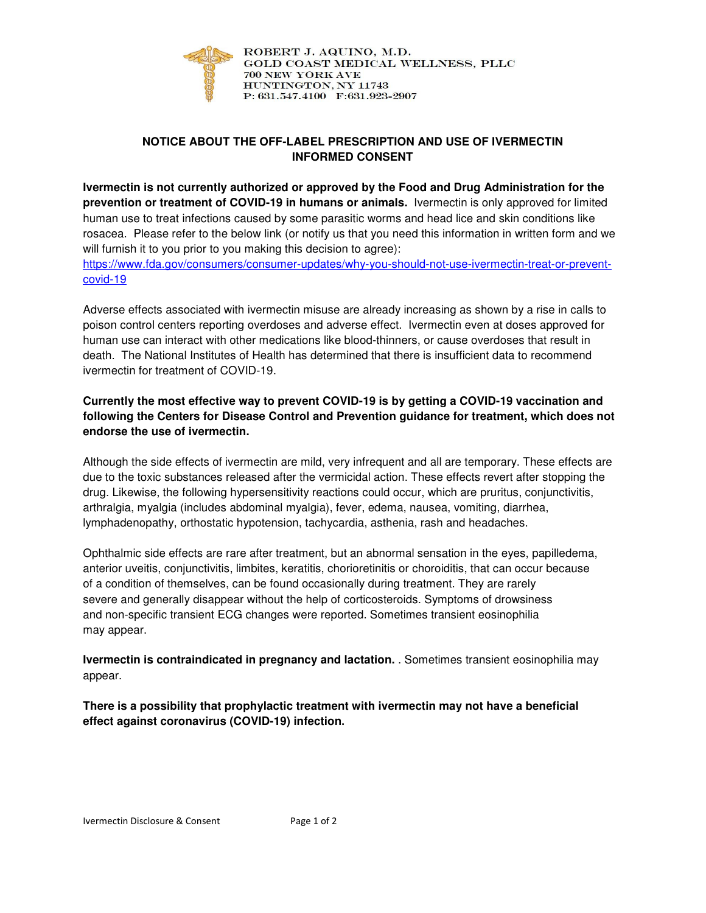

ROBERT J. AQUINO, M.D. GOLD COAST MEDICAL WELLNESS, PLLC **700 NEW YORK AVE** HUNTINGTON, NY 11743 P: 631.547.4100 F:631.923-2907

## **NOTICE ABOUT THE OFF-LABEL PRESCRIPTION AND USE OF IVERMECTIN INFORMED CONSENT**

**Ivermectin is not currently authorized or approved by the Food and Drug Administration for the prevention or treatment of COVID-19 in humans or animals.** Ivermectin is only approved for limited human use to treat infections caused by some parasitic worms and head lice and skin conditions like rosacea. Please refer to the below link (or notify us that you need this information in written form and we will furnish it to you prior to you making this decision to agree): https://www.fda.gov/consumers/consumer-updates/why-you-should-not-use-ivermectin-treat-or-preventcovid-19

Adverse effects associated with ivermectin misuse are already increasing as shown by a rise in calls to poison control centers reporting overdoses and adverse effect. Ivermectin even at doses approved for human use can interact with other medications like blood-thinners, or cause overdoses that result in death. The National Institutes of Health has determined that there is insufficient data to recommend ivermectin for treatment of COVID-19.

## **Currently the most effective way to prevent COVID-19 is by getting a COVID-19 vaccination and following the Centers for Disease Control and Prevention guidance for treatment, which does not endorse the use of ivermectin.**

Although the side effects of ivermectin are mild, very infrequent and all are temporary. These effects are due to the toxic substances released after the vermicidal action. These effects revert after stopping the drug. Likewise, the following hypersensitivity reactions could occur, which are pruritus, conjunctivitis, arthralgia, myalgia (includes abdominal myalgia), fever, edema, nausea, vomiting, diarrhea, lymphadenopathy, orthostatic hypotension, tachycardia, asthenia, rash and headaches.

Ophthalmic side effects are rare after treatment, but an abnormal sensation in the eyes, papilledema, anterior uveitis, conjunctivitis, limbites, keratitis, chorioretinitis or choroiditis, that can occur because of a condition of themselves, can be found occasionally during treatment. They are rarely severe and generally disappear without the help of corticosteroids. Symptoms of drowsiness and non-specific transient ECG changes were reported. Sometimes transient eosinophilia may appear.

**Ivermectin is contraindicated in pregnancy and lactation.** . Sometimes transient eosinophilia may appear.

**There is a possibility that prophylactic treatment with ivermectin may not have a beneficial effect against coronavirus (COVID-19) infection.**